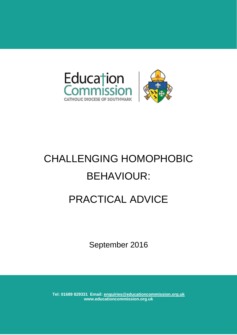



# CHALLENGING HOMOPHOBIC BEHAVIOUR: PRACTICAL ADVICE

September 2016

**Tel: 01689 829331 Email: enquiries@educationcommission.org.uk www.educationcommission.org.uk**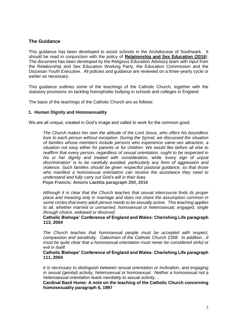# **The Guidance**

This guidance has been developed to assist schools in the Archdiocese of Southwark. It should be read in conjunction with the policy of **[Relationship and Sex Education \(2016](http://www.educationcommission.org.uk/SiteFiles/892.pdf?dt=636098839757387085)**[\).](http://www.educationcommission.org.uk/SiteFiles/892.pdf?dt=636098839757387085) The document has been developed by the Religious Education Advisory team with input from the Relationship and Sex Education Working Party, the Education Commission and the Diocesan Youth Executive. All policies and guidance are reviewed on a three-yearly cycle or earlier as necessary.

This guidance outlines some of the teachings of the Catholic Church, together with the statutory provisions on tackling homophobic bullying in schools and colleges in England.

The basis of the teachings of the Catholic Church are as follows:

#### **1. Human Dignity and Homosexuality**

We are all unique, created in God's image and called to work for the common good.

*The Church makes her own the attitude of the Lord Jesus, who offers his boundless love to each person without exception. During the Synod, we discussed the situation of families whose members include persons who experience same-sex attraction, a situation not easy either for parents or for children. We would like before all else to reaffirm that every person, regardless of sexual orientation, ought to be respected in*  his or her dignity and treated with consideration, while 'every sign of unjust *discrimination' is to be carefully avoided, particularly any form of aggression and violence. Such families should be given respectful pastoral guidance, so that those who manifest a homosexual orientation can receive the assistance they need to understand and fully carry out God's will in their lives.* 

**Pope Francis: Amoris Laetitia paragraph 250, 2016**

*Although it is clear that the Church teaches that sexual intercourse finds its proper place and meaning only in marriage and does not share the assumption common in some circles that every adult person needs to be sexually active. This teaching applies to all, whether married or unmarried, homosexual or heterosexual, engaged, single through choice, widowed or divorced.* 

#### **Catholic Bishops' Conference of England and Wales: Cherishing Life paragraph 113, 2004**

*The Church teaches that homosexual people must be accepted with respect, compassion and sensitivity. Catechism of the Catholic Church 2358. In addition…it must be quite clear that a homosexual orientation must never be considered sinful or evil in itself.* 

**Catholic Bishops' Conference of England and Wales: Cherishing Life paragraph 111, 2004**

*It is necessary to distinguish between sexual orientation or inclination, and engaging in sexual (genital) activity, heterosexual or homosexual. Neither a homosexual not a heterosexual orientation leads inevitably to sexual activity…*

**Cardinal Basil Hume: A note on the teaching of the Catholic Church concerning homosexuality paragraph 6, 1997**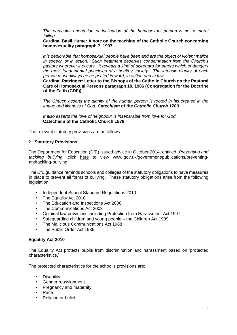*The particular orientation or inclination of the homosexual person is not a moral failing…*

#### **Cardinal Basil Hume: A note on the teaching of the Catholic Church concerning homosexuality paragraph 7, 1997**

*It is deplorable that homosexual people have been and are the object of violent malice in speech or in action. Such treatment deserves condemnation from the Church's pastors wherever it occurs. It reveals a kind of disregard for others which endangers the most fundamental principles of a healthy society. The intrinsic dignity of each person must always be respected in word, in action and in law.* 

**Cardinal Ratzinger: Letter to the Bishops of the Catholic Church on the Pastoral Care of Homosexual Persons paragraph 10, 1986 (Congregation for the Doctrine of the Faith (CDF))**

*The Church asserts the dignity of the human person is rooted in his created in the image and likeness of God. Catechism of the Catholic Church 1700*

*It also asserts the love of neighbour is inseparable from love for God.*  **Catechism of the Catholic Church 1878**

The relevant statutory provisions are as follows:

#### **2. Statutory Provisions**

The Department for Education (DfE) issued advice in October 2014, entitled, *Preventing and tackling bullying,* click here to view www.gov.uk/government/publications/preventingandtackling-bullying

The DfE guidance reminds schools and colleges of the statutory obligations to have measures in place to prevent all forms of bullying. These statutory obligations arise from the following legislation:

- Independent School Standard Regulations 2010
- The Equality Act 2010
- The Education and Inspections Act 2006
- The Communications Act 2003
- Criminal law provisions including Protection from Harassment Act 1997
- Safeguarding children and young people the Children Act 1989
- The Malicious Communications Act 1988
- The Public Order Act 1986

## **Equality Act 2010**

The Equality Act protects pupils from discrimination and harassment based on 'protected characteristics.'

The protected characteristics for the school's provisions are:

- Disability
- Gender reassignment
- Pregnancy and maternity
- Race
- Religion or belief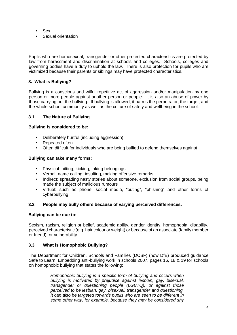- Sex
- Sexual orientation

Pupils who are homosexual, transgender or other protected characteristics are protected by law from harassment and discrimination at schools and colleges. Schools, colleges and governing bodies have a duty to uphold the law. There is also protection for pupils who are victimized because their parents or siblings may have protected characteristics.

# **3. What is Bullying?**

Bullying is a conscious and wilful repetitive act of aggression and/or manipulation by one person or more people against another person or people. It is also an abuse of power by those carrying out the bullying. If bullying is allowed, it harms the perpetrator, the target, and the whole school community as well as the culture of safety and wellbeing in the school.

## **3.1 The Nature of Bullying**

## **Bullying is considered to be:**

- Deliberately hurtful (including aggression)
- Repeated often
- Often difficult for individuals who are being bullied to defend themselves against

## **Bullying can take many forms:**

- Physical: hitting, kicking, taking belongings
- Verbal: name calling, insulting, making offensive remarks
- Indirect: spreading nasty stories about someone, exclusion from social groups, being made the subject of malicious rumours
- Virtual: such as phone, social media, "outing", "phishing" and other forms of cyberbullying

## **3.2 People may bully others because of varying perceived differences:**

## **Bullying can be due to:**

Sexism, racism, religion or belief, academic ability, gender identity, homophobia, disability, perceived characteristic (e.g. hair colour or weight) or because of an associate (family member or friend), or vulnerability.

## **3.3 What is Homophobic Bullying?**

The Department for Children, Schools and Families (DCSF) (now DfE) produced guidance Safe to Learn: Embedding anti-bullying work in schools 2007, pages 16, 18 & 19 for schools on homophobic bullying that states the following:

> *Homophobic bullying is a specific form of bullying and occurs when bullying is motivated by prejudice against lesbian, gay, bisexual, transgender or questioning people (LGBTQ), or against those perceived to be lesbian, gay, bisexual, transgender and questioning. It can also be targeted towards pupils who are seen to be different in some other way, for example, because they may be considered shy*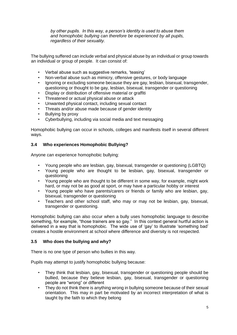*by other pupils. In this way, a person's identity is used to abuse them and homophobic bullying can therefore be experienced by all pupils, regardless of their sexuality.*

The bullying suffered can include verbal and physical abuse by an individual or group towards an individual or group of people. It can consist of:

- Verbal abuse such as suggestive remarks, 'teasing'
- Non-verbal abuse such as mimicry, offensive gestures, or body language
- Ignoring or excluding someone because they are gay, lesbian, bisexual, transgender, questioning or thought to be gay, lesbian, bisexual, transgender or questioning
- Display or distribution of offensive material or graffiti
- Threatened or actual physical abuse or attack
- Unwanted physical contact, including sexual contact
- Threats and/or abuse made because of gender identity
- Bullying by proxy
- Cyberbullying, including via social media and text messaging

Homophobic bullying can occur in schools, colleges and manifests itself in several different ways.

# **3.4 Who experiences Homophobic Bullying?**

Anyone can experience homophobic bullying:

- Young people who are lesbian, gay, bisexual, transgender or questioning (LGBTQ)
- Young people who are thought to be lesbian, gay, bisexual, transgender or questioning
- Young people who are thought to be different in some way, for example, might work hard, or may not be as good at sport, or may have a particular hobby or interest
- Young people who have parents/carers or friends or family who are lesbian, gay, bisexual, transgender or questioning
- Teachers and other school staff, who may or may not be lesbian, gay, bisexual, transgender or questioning.

Homophobic bullying can also occur when a bully uses homophobic language to describe something, for example, "those trainers are so gay." In this context general hurtful action is delivered in a way that is homophobic. The wide use of 'gay' to illustrate 'something bad' creates a hostile environment at school where difference and diversity is not respected.

## **3.5 Who does the bullying and why?**

There is no one type of person who bullies in this way.

Pupils may attempt to justify homophobic bullying because:

- They think that lesbian, gay, bisexual, transgender or questioning people should be bullied, because they believe lesbian, gay, bisexual, transgender or questioning people are "wrong" or different
- They do not think there is anything wrong in bullying someone because of their sexual orientation. This may in part be motivated by an incorrect interpretation of what is taught by the faith to which they belong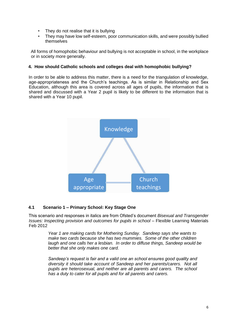- They do not realise that it is bullying
- They may have low self-esteem, poor communication skills, and were possibly bullied themselves

All forms of homophobic behaviour and bullying is not acceptable in school, in the workplace or in society more generally.

## **4. How should Catholic schools and colleges deal with homophobic bullying?**

In order to be able to address this matter, there is a need for the triangulation of knowledge, age-appropriateness and the Church's teachings. As is similar in Relationship and Sex Education, although this area is covered across all ages of pupils, the information that is shared and discussed with a Year 2 pupil is likely to be different to the information that is shared with a Year 10 pupil.



# **4.1 Scenario 1 – Primary School: Key Stage One**

This scenario and responses in italics are from Ofsted's document *Bisexual and Transgender Issues: Inspecting provision and outcomes for pupils in school* – Flexible Learning Materials Feb 2012

> *Year 1 are making cards for Mothering Sunday. Sandeep says she wants to make two cards because she has two mummies. Some of the other children laugh and one calls her a lesbian. In order to diffuse things, Sandeep would be better that she only makes one card.*

*Sandeep's request is fair and a valid one an school ensures good quality and diversity it should take account of Sandeep and her parents/carers. Not all pupils are heterosexual, and neither are all parents and carers. The school has a duty to cater for all pupils and for all parents and carers.*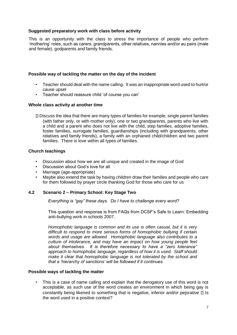## **Suggested preparatory work with class before activity**

This is an opportunity with the class to stress the importance of people who perform 'mothering' roles, such as carers, grandparents, other relatives, nannies and/or au pairs (male and female), godparents and family friends.

## **Possible way of tackling the matter on the day of the incident**

- Teacher should deal with the name calling. It was an inappropriate word used to hurt/or cause upset
- Teacher should reassure child 'of course you can'

#### **Whole class activity at another time**

Discuss the idea that there are many types of families for example, single parent families (with father only, or with mother only), one or two grandparents, parents who live with a child and a parent who does not live with the child, step families, adoptive families, foster families, surrogate families, guardianships (including with grandparents, other relatives and family friends), a family with an orphaned child/children and two parent families. There is love within all types of families.

#### **Church teachings**

- Discussion about how we are all unique and created in the image of God
- Discussion about God's love for all
- Marriage (age-appropriate)
- Maybe also extend the task by having children draw their families and people who care for them followed by prayer circle thanking God for those who care for us

## **4.2 Scenario 2 – Primary School: Key Stage Two**

*Everything is "gay" these days. Do I have to challenge every word?* 

This question and response is from FAQs from DCSF's Safe to Learn: Embedding anti-bullying work in schools 2007.

*Homophobic language is common and its use is often casual, but it is very difficult to respond to more serious forms of homophobic bullying if certain words and usage are allowed. Homophobic language also contributes to a culture of intolerance, and may have an impact on how young people feel about themselves. It is therefore necessary to have a "zero tolerance" approach to homophobic language, regardless of how it is used. Staff should make it clear that homophobic language is not tolerated by the school and that a 'hierarchy of sanctions' will be followed if it continues.*

#### **Possible ways of tackling the matter**

• This is a case of name calling and explain that the derogatory use of this word is not acceptable, as such use of the word creates an environment in which being gay is constantly being likened to something that is negative, inferior and/or pejorative  $\Box$  Is the word used in a positive context?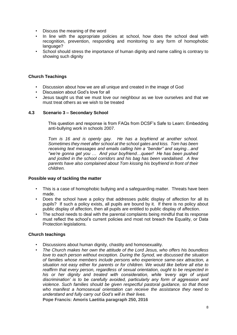- Discuss the meaning of the word
- In line with the appropriate policies at school, how does the school deal with recognition, prevention, responding and monitoring to any form of homophobic language?
- School should stress the importance of human dignity and name calling is contrary to showing such dignity

# **Church Teachings**

- Discussion about how we are all unique and created in the image of God
- Discussion about God's love for all
- Jesus taught us that we must love our neighbour as we love ourselves and that we must treat others as we wish to be treated

# **4.3 Scenario 3 – Secondary School**

This question and response is from FAQs from DCSF's Safe to Learn: Embedding anti-bullying work in schools 2007.

*Tom is 16 and is openly gay. He has a boyfriend at another school. Sometimes they meet after school at the school gates and kiss. Tom has been receiving text messages and emails calling him a "bender" and saying…and "we're gonna get you … And your boyfriend…queer! He has been pushed and jostled in the school corridors and his bag has been vandalised. A few parents have also complained about Tom kissing his boyfriend in front of their children.* 

## **Possible way of tackling the matter**

- This is a case of homophobic bullying and a safeguarding matter. Threats have been made.
- Does the school have a policy that addresses public display of affection for all its pupils? If such a policy exists, all pupils are bound by it. If there is no policy about public display of affection, then all pupils are entitled to public display of affection.
- The school needs to deal with the parental complaints being mindful that its response must reflect the school's current policies and most not breach the Equality, or Data Protection legislations.

## **Church teachings**

- Discussions about human dignity, chastity and homosexuality.
- *The Church makes her own the attitude of the Lord Jesus, who offers his boundless love to each person without exception. During the Synod, we discussed the situation of families whose members include persons who experience same-sex attraction, a situation not easy either for parents or for children. We would like before all else to reaffirm that every person, regardless of sexual orientation, ought to be respected in his or her dignity and treated with consideration, while 'every sign of unjust discrimination' is to be carefully avoided, particularly any form of aggression and violence. Such families should be given respectful pastoral guidance, so that those who manifest a homosexual orientation can receive the assistance they need to understand and fully carry out God's will in their lives.*

**Pope Francis: Amoris Laetitia paragraph 250, 2016**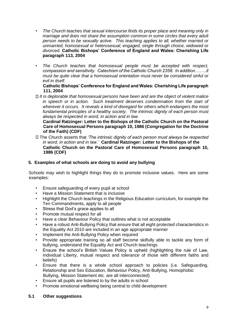- *The Church teaches that sexual intercourse finds its proper place and meaning only in marriage and does not share the assumption common in some circles that every adult person needs to be sexually active. This teaching applies to all, whether married or unmarried, homosexual or heterosexual, engaged, single through choice, widowed or divorced.* **Catholic Bishops' Conference of England and Wales: Cherishing Life paragraph 113, 2004**
- *The Church teaches that homosexual people must be accepted with respect, compassion and sensitivity. Catechism of the Catholic Church 2358. In addition……..it must be quite clear that a homosexual orientation must never be considered sinful or evil in itself.*

#### **Catholic Bishops' Conference for England and Wales: Cherishing Life paragraph 111, 2004**

*It is deplorable that homosexual persons have been and are the object of violent malice in speech or in action.* Such treatment deserves condemnation from the start of *wherever it occurs. It reveals a kind of disregard for others which endangers the most fundamental principles of a healthy society. The intrinsic dignity of each person must always be respected in word, in action and in law.*

**Cardinal Ratzinger: Letter to the Bishops of the Catholic Church on the Pastoral Care of Homosexual Persons paragraph 10, 1986 (Congregation for the Doctrine of the Faith) (CDF)**

The Church asserts that *'The intrinsic dignity of each person must always be respected in word, in action and in law.'* **Cardinal Ratzinger: Letter to the Bishops of the Catholic Church on the Pastoral Care of Homosexual Persons paragraph 10, 1986 (CDF)**

# **5. Examples of what schools are doing to avoid any bullying**

Schools may wish to highlight things they do to promote inclusive values. Here are some examples:

- Ensure safeguarding of every pupil at school
- Have a Mission Statement that is inclusive
- Highlight the Church teachings in the Religious Education curriculum, for example the Ten Commandments, apply to all people
- Stress that God's grace applies to all
- Promote mutual respect for all
- Have a clear Behaviour Policy that outlines what is not acceptable
- Have a robust Anti-Bullying Policy that ensure that all eight protected characteristics in the Equality Act 2010 are included in an age appropriate manner
- Implement the Anti-Bullying Policy when required
- Provide appropriate training so all staff become skilfully able to tackle any form of bullying, understand the Equality Act and Church teachings
- Ensure the school's British Values Policy is upheld (highlighting the rule of Law, Individual Liberty, mutual respect and tolerance of those with different faiths and beliefs)
- Ensure that there is a whole school approach to policies (i.e. Safeguarding, Relationship and Sex Education, Behaviour Policy, Anti-Bullying, Homophobic Bullying, Mission Statement etc. are all interconnected)
- Ensure all pupils are listened to by the adults in school
- Promote emotional wellbeing being central to child development

## **5.1 Other suggestions**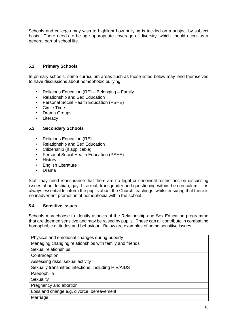Schools and colleges may wish to highlight how bullying is tackled on a subject by subject basis. There needs to be age appropriate coverage of diversity, which should occur as a general part of school life.

# **5.2 Primary Schools**

In primary schools, some curriculum areas such as those listed below may lend themselves to have discussions about homophobic bullying.

- Religious Education (RE) Belonging Family
- Relationship and Sex Education
- Personal Social Health Education (PSHE)
- Circle Time
- Drama Groups
- Literacy

## **5.3 Secondary Schools**

- Religious Education (RE)
- Relationship and Sex Education
- Citizenship (if applicable)
- Personal Social Health Education (PSHE)
- History
- English Literature
- Drama

Staff may need reassurance that there are no legal or canonical restrictions on discussing issues about lesbian, gay, bisexual, transgender and questioning within the curriculum. It is always essential to inform the pupils about the Church teachings, whilst ensuring that there is no inadvertent promotion of homophobia within the school.

## **5.4 Sensitive issues**

Schools may choose to identify aspects of the Relationship and Sex Education programme that are deemed sensitive and may be raised by pupils. These can all contribute in combatting homophobic attitudes and behaviour. Below are examples of some sensitive issues:

| Physical and emotional changes during puberty           |
|---------------------------------------------------------|
| Managing changing relationships with family and friends |
| Sexual relationships                                    |
| Contraception                                           |
| Assessing risks, sexual activity                        |
| Sexually transmitted infections, including HIV/AIDS     |
| Paedophilia                                             |
| Sexuality                                               |
| Pregnancy and abortion                                  |
| Loss and change e.g. divorce, bereavement               |
| Marriage                                                |
|                                                         |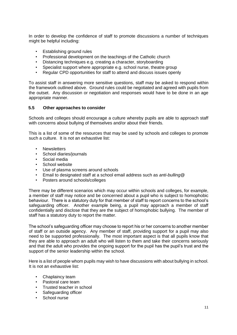In order to develop the confidence of staff to promote discussions a number of techniques might be helpful including:

- Establishing ground rules
- Professional development on the teachings of the Catholic church
- Distancing techniques e.g. creating a character, storyboarding
- Specialist support where appropriate e.g. school nurse, theatre group
- Regular CPD opportunities for staff to attend and discuss issues openly

To assist staff in answering more sensitive questions, staff may be asked to respond within the framework outlined above. Ground rules could be negotiated and agreed with pupils from the outset. Any discussion or negotiation and responses would have to be done in an age appropriate manner.

## **5.5 Other approaches to consider**

Schools and colleges should encourage a culture whereby pupils are able to approach staff with concerns about bullying of themselves and/or about their friends.

This is a list of some of the resources that may be used by schools and colleges to promote such a culture. It is not an exhaustive list:

- **Newsletters**
- School diaries/journals
- Social media
- School website
- Use of plasma screens around schools
- Email to designated staff at a school email address such as *anti-bulling@*
- Posters around schools/colleges

There may be different scenarios which may occur within schools and colleges, for example, a member of staff may notice and be concerned about a pupil who is subject to homophobic behaviour. There is a statutory duty for that member of staff to report concerns to the school's safeguarding officer. Another example being, a pupil may approach a member of staff confidentially and disclose that they are the subject of homophobic bullying. The member of staff has a statutory duty to report the matter.

The school's safeguarding officer may choose to report his or her concerns to another member of staff or an outside agency. Any member of staff, providing support for a pupil may also need to be supported professionally. The most important aspect is that all pupils know that they are able to approach an adult who will listen to them and take their concerns seriously and that the adult who provides the ongoing support for the pupil has the pupil's trust and the support of the senior leadership within the school.

Here is a list of people whom pupils may wish to have discussions with about bullying in school. It is not an exhaustive list:

- Chaplaincy team
- Pastoral care team
- Trusted teacher in school
- Safeguarding officer
- School nurse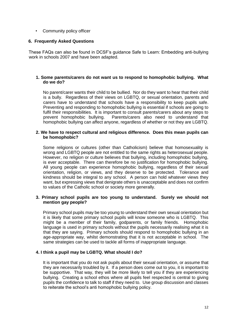• Community policy officer

# **6. Frequently Asked Questions**

These FAQs can also be found in DCSF's guidance Safe to Learn: Embedding anti-bullying work in schools 2007 and have been adapted.

#### **1. Some parents/carers do not want us to respond to homophobic bullying. What do we do?**

No parent/carer wants their child to be bullied. Nor do they want to hear that their child is a bully. Regardless of their views on LGBTQ, or sexual orientation, parents and carers have to understand that schools have a responsibility to keep pupils safe. Preventing and responding to homophobic bullying is essential if schools are going to fulfil their responsibilities. It is important to consult parents/carers about any steps to prevent homophobic bullying. Parents/carers also need to understand that Parents/carers also need to understand that homophobic bullying can affect anyone, regardless of whether or not they are LGBTQ.

#### **2. We have to respect cultural and religious difference. Does this mean pupils can be homophobic?**

Some religions or cultures (other than Catholicism) believe that homosexuality is wrong and LGBTQ people are not entitled to the same rights as heterosexual people. However, no religion or culture believes that bullying, including homophobic bullying, is ever acceptable. There can therefore be no justification for homophobic bullying. All young people can experience homophobic bullying, regardless of their sexual orientation, religion, or views, and they deserve to be protected. Tolerance and kindness should be integral to any school. A person can hold whatever views they want, but expressing views that denigrate others is unacceptable and does not confirm to values of the Catholic school or society more generally.

#### **3. Primary school pupils are too young to understand. Surely we should not mention gay people?**

Primary school pupils may be too young to understand their own sexual orientation but it is likely that some primary school pupils will know someone who is LGBTQ. This might be a member of their family, godparents, or family friends. Homophobic language is used in primary schools without the pupils necessarily realising what it is that they are saying. Primary schools should respond to homophobic bullying in an age-appropriate way, whilst demonstrating that it is not acceptable in school. The same strategies can be used to tackle all forms of inappropriate language.

## **4. I think a pupil may be LGBTQ. What should I do?**

It is important that you do not ask pupils about their sexual orientation, or assume that they are necessarily troubled by it. If a person does come out to you, it is important to be supportive. That way, they will be more likely to tell you if they are experiencing bullying. Creating a school ethos where all pupils feel respected is central to giving pupils the confidence to talk to staff if they need to. Use group discussion and classes to reiterate the school's anti homophobic bullying policy.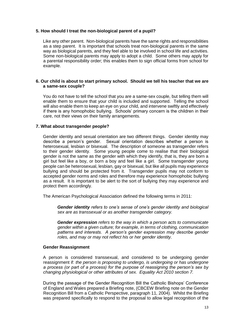## **5. How should I treat the non-biological parent of a pupil?**

Like any other parent. Non-biological parents have the same rights and responsibilities as a step parent. It is important that schools treat non-biological parents in the same way as biological parents, and they feel able to be involved in school life and activities. Some non-biological parents may apply to adopt a child. Some others may apply for a parental responsibility order; this enables them to sign official forms from school for example.

#### **6. Our child is about to start primary school. Should we tell his teacher that we are a same-sex couple?**

You do not have to tell the school that you are a same-sex couple, but telling them will enable them to ensure that your child is included and supported. Telling the school will also enable them to keep an eye on your child, and intervene swiftly and effectively if there is any homophobic bullying. Schools' primary concern is the children in their care, not their views on their family arrangements.

#### **7. What about transgender people?**

Gender identity and sexual orientation are two different things. Gender identity may describe a person's gender. Sexual orientation describes whether a person is heterosexual, lesbian or bisexual. The description of someone as transgender refers to their gender identity. Some young people come to realise that their biological gender is not the same as the gender with which they identify, that is, they are born a girl but feel like a boy, or born a boy and feel like a girl. Some transgender young people can be heterosexual, lesbian, gay or bisexual, but like all pupils may experience bullying and should be protected from it. Transgender pupils may not conform to accepted gender norms and roles and therefore may experience homophobic bullying as a result. It is important to be alert to the sort of bullying they may experience and protect them accordingly.

The American Psychological Association defined the following terms in 2011:

*Gender identity refers to one's sense of one's gender identity and biological sex are as transsexual or as another transgender category.* 

*Gender expression refers to the way in which a person acts to communicate gender within a given culture; for example, in terms of clothing, communication patterns and interests. A person's gender expression may describe gender roles, and may or may not reflect his or her gender identity.*

#### **Gender Reassignment**

A person is considered transsexual, and considered to be undergoing gender reassignment if: *the person is proposing to undergo, is undergoing or has undergone a process (or part of a process) for the purpose of reassigning the person's sex by changing physiological or other attributes of sex. Equality Act 2010 section 7.*

During the passage of the Gender Recognition Bill the Catholic Bishops' Conference of England and Wales prepared a Briefing note, (CBCEW Briefing note on the Gender Recognition Bill from a Catholic Perspective, paragraph 11, 2004). Whilst the Briefing was prepared specifically to respond to the proposal to allow legal recognition of the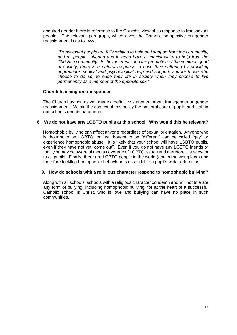acquired gender there is reference to the Church's view of its response to transsexual people. The relevant paragraph, which gives the Catholic perspective on gender reassignment is as follows:

*"Transsexual people are fully entitled to help and support from the community, and as people suffering and in need have a special claim to help from the Christian community. In their interests and the promotion of the common good of society, there is a natural response to ease their suffering by providing appropriate medical and psychological help and support, and for those who choose to do so, to ease their life in society when they choose to live permanently as a member of the opposite sex."*

## **Church teaching on transgender**

The Church has not, as yet, made a definitive statement about transgender or gender reassignment. Within the context of this policy the pastoral care of pupils and staff in our schools remain paramount.

## **8. We do not have any LGBTQ pupils at this school. Why would this be relevant?**

Homophobic bullying can affect anyone regardless of sexual orientation. Anyone who is thought to be LGBTQ, or just thought to be "different" can be called "gay" or experience homophobic abuse. It is likely that your school will have LGBTQ pupils, even if they have not yet "come out". Even if you do not have any LGBTQ friends or family or may be aware of media coverage of LGBTQ issues and therefore it is relevant to all pupils. Finally, there are LGBTQ people in the world (and in the workplace) and therefore tackling homophobic behaviour is essential to a pupil's wider education.

## **9. How do schools with a religious character respond to homophobic bullying?**

Along with all schools, schools with a religious character condemn and will not tolerate any form of bullying, including homophobic bullying, for at the heart of a successful Catholic school is Christ, who is love and bullying can have no place in such communities.